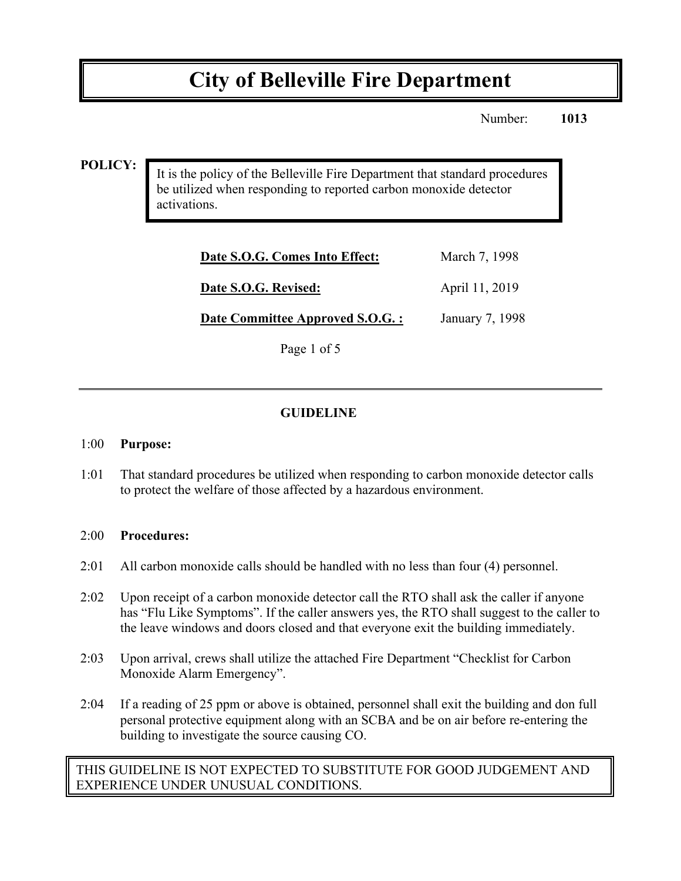# **City of Belleville Fire Department**

Number: **1013**

### **POLICY:**

It is the policy of the Belleville Fire Department that standard procedures be utilized when responding to reported carbon monoxide detector activations.

| Date S.O.G. Comes Into Effect:   | March 7, 1998   |
|----------------------------------|-----------------|
| Date S.O.G. Revised:             | April 11, 2019  |
| Date Committee Approved S.O.G. : | January 7, 1998 |

Page 1 of 5

# **GUIDELINE**

#### 1:00 **Purpose:**

1:01 That standard procedures be utilized when responding to carbon monoxide detector calls to protect the welfare of those affected by a hazardous environment.

#### 2:00 **Procedures:**

- 2:01 All carbon monoxide calls should be handled with no less than four (4) personnel.
- 2:02 Upon receipt of a carbon monoxide detector call the RTO shall ask the caller if anyone has "Flu Like Symptoms". If the caller answers yes, the RTO shall suggest to the caller to the leave windows and doors closed and that everyone exit the building immediately.
- 2:03 Upon arrival, crews shall utilize the attached Fire Department "Checklist for Carbon Monoxide Alarm Emergency".
- 2:04 If a reading of 25 ppm or above is obtained, personnel shall exit the building and don full personal protective equipment along with an SCBA and be on air before re-entering the building to investigate the source causing CO.

THIS GUIDELINE IS NOT EXPECTED TO SUBSTITUTE FOR GOOD JUDGEMENT AND EXPERIENCE UNDER UNUSUAL CONDITIONS.